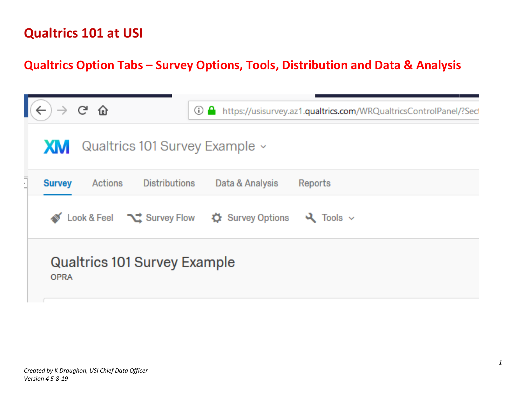### **Qualtrics Option Tabs – Survey Options, Tools, Distribution and Data & Analysis**

|    |               | <u>ල ල</u> | ⊙                                   | a.                                                                       | https://usisurvey.az1.qualtrics.com/WRQualtricsControlPanel/?Secl |
|----|---------------|------------|-------------------------------------|--------------------------------------------------------------------------|-------------------------------------------------------------------|
|    | <b>XM</b>     |            | Qualtrics 101 Survey Example ~      |                                                                          |                                                                   |
| Ľ, | <b>Survey</b> | Actions    | <b>Distributions</b>                | Data & Analysis                                                          | Reports                                                           |
|    |               |            |                                     | Look & Feel $\sum$ Survey Flow $\sum$ Survey Options $\sum$ Tools $\sim$ |                                                                   |
|    | <b>OPRA</b>   |            | <b>Qualtrics 101 Survey Example</b> |                                                                          |                                                                   |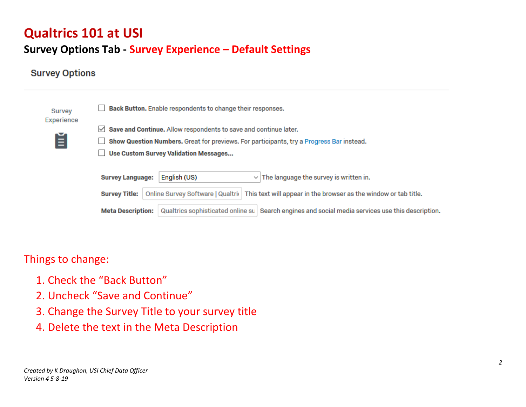### **Survey Options Tab - Survey Experience – Default Settings**

#### **Survey Options**



Things to change:

- 1. Check the "Back Button"
- 2. Uncheck "Save and Continue"
- 3. Change the Survey Title to your survey title
- 4. Delete the text in the Meta Description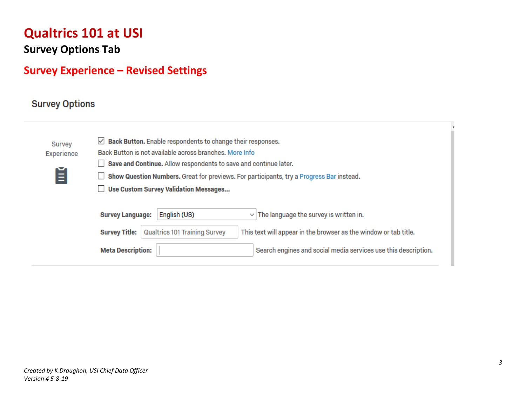**Survey Options Tab**

### **Survey Experience – Revised Settings**

#### **Survey Options**

| Survey<br>Experience | $\vee$ <b>Back Button.</b> Enable respondents to change their responses.<br>Back Button is not available across branches. More Info<br>Save and Continue. Allow respondents to save and continue later. |  |  |  |  |
|----------------------|---------------------------------------------------------------------------------------------------------------------------------------------------------------------------------------------------------|--|--|--|--|
| Ě                    | Show Question Numbers. Great for previews. For participants, try a Progress Bar instead.<br><b>Use Custom Survey Validation Messages</b>                                                                |  |  |  |  |
|                      |                                                                                                                                                                                                         |  |  |  |  |
|                      | English (US)<br>$\vee$ The language the survey is written in.<br><b>Survey Language:</b>                                                                                                                |  |  |  |  |
|                      | <b>Qualtrics 101 Training Survey</b><br>This text will appear in the browser as the window or tab title.<br><b>Survey Title:</b>                                                                        |  |  |  |  |
|                      | <b>Meta Description:</b><br>Search engines and social media services use this description.                                                                                                              |  |  |  |  |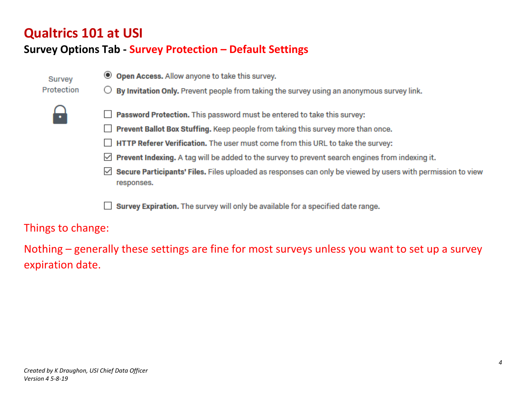### **Survey Options Tab - Survey Protection – Default Settings**

- Survey Protection
- **Open Access.** Allow anyone to take this survey.
- By Invitation Only. Prevent people from taking the survey using an anonymous survey link.



- Password Protection. This password must be entered to take this survey:
- Prevent Ballot Box Stuffing. Keep people from taking this survey more than once.
- HTTP Referer Verification. The user must come from this URL to take the survey:
- $\vee$  **Prevent Indexing.** A tag will be added to the survey to prevent search engines from indexing it.
- Secure Participants' Files. Files uploaded as responses can only be viewed by users with permission to view  $\vee$ responses.

Survey Expiration. The survey will only be available for a specified date range.

Things to change:

Nothing – generally these settings are fine for most surveys unless you want to set up a survey expiration date.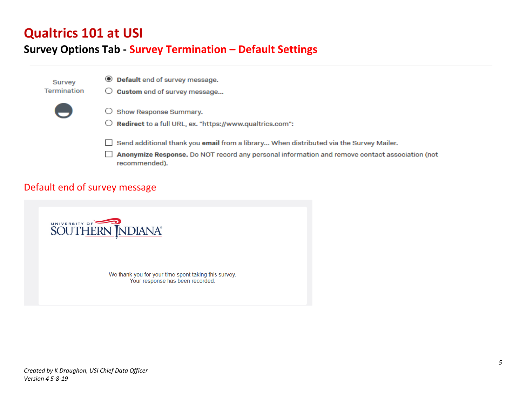#### **Survey Options Tab - Survey Termination – Default Settings**



#### Default end of survey message



We thank you for your time spent taking this survey. Your response has been recorded.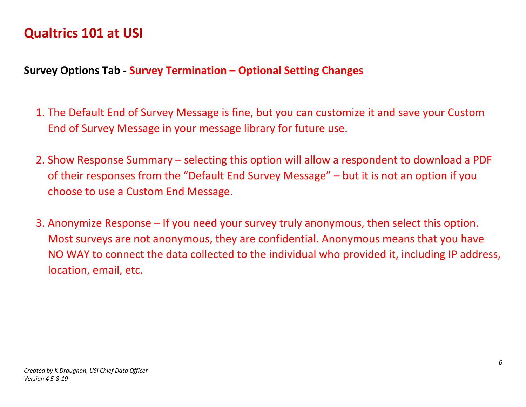#### **Survey Options Tab - Survey Termination – Optional Setting Changes**

- 1. The Default End of Survey Message is fine, but you can customize it and save your Custom End of Survey Message in your message library for future use.
- 2. Show Response Summary selecting this option will allow a respondent to download a PDF of their responses from the "Default End Survey Message" – but it is not an option if you choose to use a Custom End Message.
- 3. Anonymize Response If you need your survey truly anonymous, then select this option. Most surveys are not anonymous, they are confidential. Anonymous means that you have NO WAY to connect the data collected to the individual who provided it, including IP address, location, email, etc.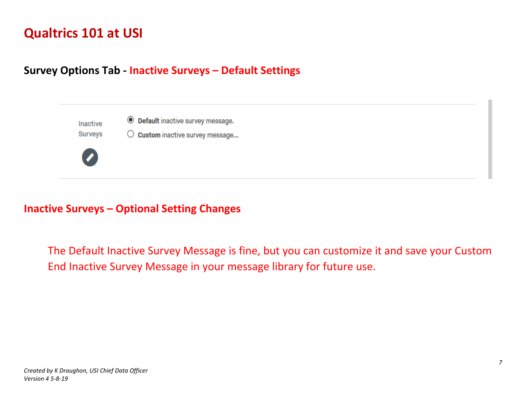#### **Survey Options Tab - Inactive Surveys – Default Settings**

**O** Default inactive survey message. Inactive **Surveys**  $\bigcirc$  Custom inactive survey message...

#### **Inactive Surveys – Optional Setting Changes**

The Default Inactive Survey Message is fine, but you can customize it and save your Custom End Inactive Survey Message in your message library for future use.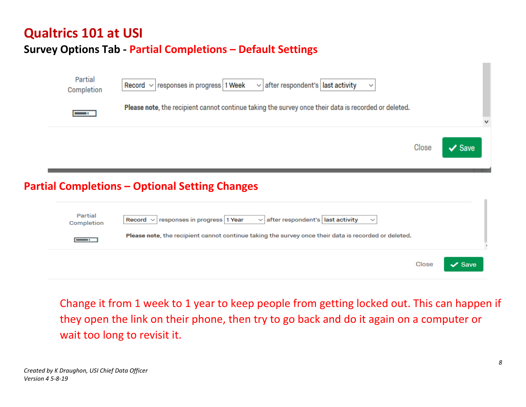### **Survey Options Tab - Partial Completions – Default Settings**

| Partial<br>Completion | Record $\vee$ responses in progress 1 Week $\vee$ after respondent's last activity                   |  |
|-----------------------|------------------------------------------------------------------------------------------------------|--|
| $\mathbf{u}$          | Please note, the recipient cannot continue taking the survey once their data is recorded or deleted. |  |
|                       |                                                                                                      |  |

### **Partial Completions – Optional Setting Changes**

| Partial<br>Completion | Record $\vee$ responses in progress 1 Year<br>$\vee$ after respondent's ast activity<br>$\checkmark$<br>Please note, the recipient cannot continue taking the survey once their data is recorded or deleted. |       |             |  |
|-----------------------|--------------------------------------------------------------------------------------------------------------------------------------------------------------------------------------------------------------|-------|-------------|--|
|                       |                                                                                                                                                                                                              | Close | $\vee$ Save |  |

Change it from 1 week to 1 year to keep people from getting locked out. This can happen if they open the link on their phone, then try to go back and do it again on a computer or wait too long to revisit it.

Close

 $\vee$  Save

ш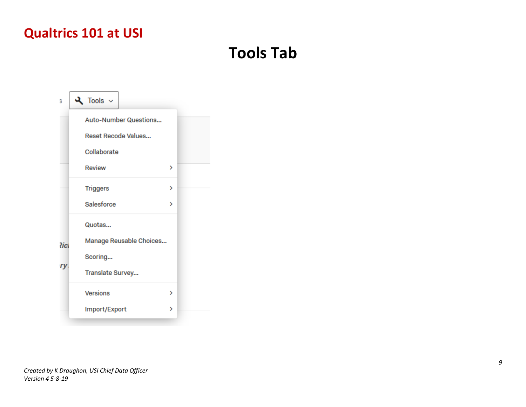# **Tools Tab**

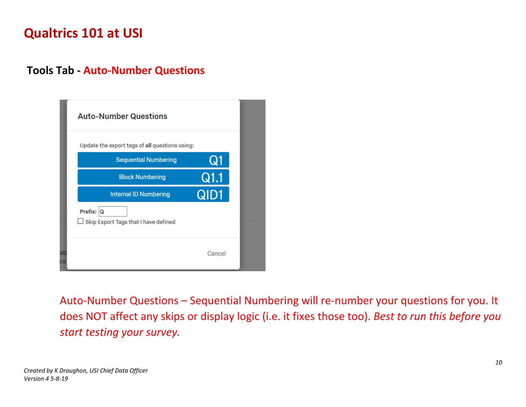#### **Tools Tab - Auto-Number Questions**

| <b>Auto-Number Questions</b>                          |        |
|-------------------------------------------------------|--------|
| Update the export tags of all questions using:        |        |
| <b>Sequential Numbering</b>                           | Q1     |
| <b>Block Numbering</b>                                | Q1.1   |
| <b>Internal ID Numbering</b>                          | QID1   |
| Prefix: $ Q $<br>Skip Export Tags that I have defined |        |
|                                                       | Cancel |

Auto-Number Questions – Sequential Numbering will re-number your questions for you. It does NOT affect any skips or display logic (i.e. it fixes those too). *Best to run this before you start testing your survey.*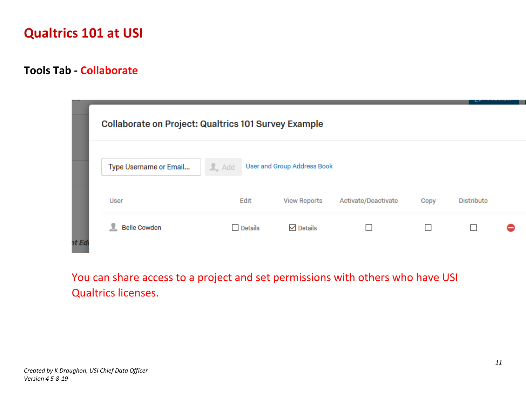#### **Tools Tab - Collaborate**

|       | <b>Collaborate on Project: Qualtrics 101 Survey Example</b> |                    |                                    |                     |      |                   |  |
|-------|-------------------------------------------------------------|--------------------|------------------------------------|---------------------|------|-------------------|--|
|       | Type Username or Email                                      | $\mathbf{I}_*$ Add | <b>User and Group Address Book</b> |                     |      |                   |  |
|       | User                                                        | Edit               | <b>View Reports</b>                | Activate/Deactivate | Copy | <b>Distribute</b> |  |
| nt Ed | <b>Belle Cowden</b>                                         | $\Box$ Details     | $\vee$ Details                     |                     |      | Г                 |  |

You can share access to a project and set permissions with others who have USI Qualtrics licenses.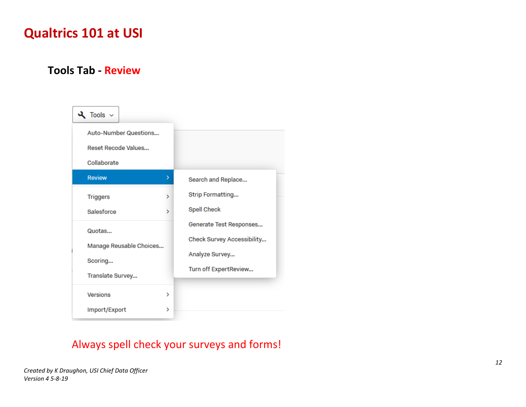#### **Tools Tab - Review**



### Always spell check your surveys and forms!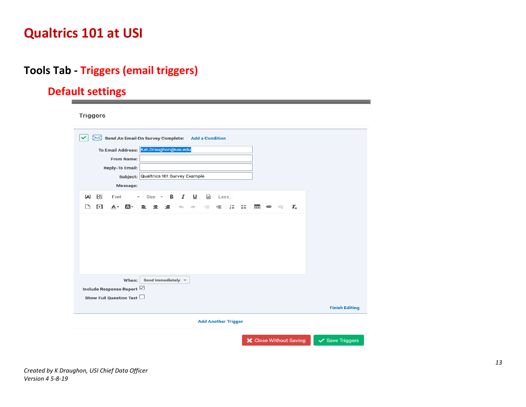### **Tools Tab - Triggers (email triggers)**

### **Default settings**

**Triggers** 

| $\bowtie$ Send An Email On Survey Complete: Add a Condition                                                        |                       |
|--------------------------------------------------------------------------------------------------------------------|-----------------------|
| To Email Address: Kat.Draughon@usi.edu                                                                             |                       |
| <b>From Name:</b>                                                                                                  |                       |
| <b>Reply-To Email:</b>                                                                                             |                       |
| Subject: Qualtrics 101 Survey Example                                                                              |                       |
| Message:                                                                                                           |                       |
|                                                                                                                    |                       |
| ಸಿ<br>Size $\cdot$ <b>B</b> $I$ <b>U</b><br>$\leftrightarrow$<br>${A}$<br>Font<br>Less<br>$\overline{\phantom{a}}$ |                       |
| ∐<br>B<br>$E = 2E$<br>$A -$<br>⊠- ∣<br>할 줄<br>制圖 다<br>⊞ ⊜<br>$\mathbf{I}_{\mathbf{x}}$<br>- 15<br>- 약              |                       |
| Send immediately $\sqrt{*}$<br>When:                                                                               |                       |
| Include Response Report ⊠                                                                                          |                       |
| Show Full Question Text                                                                                            |                       |
|                                                                                                                    | <b>Finish Editing</b> |
| <b>Add Another Trigger</b>                                                                                         |                       |
| <b>X</b> Close Without Saving                                                                                      | ✔ Save Triggers       |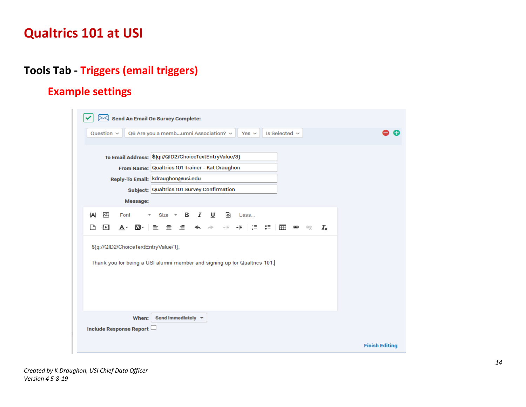### **Tools Tab - Triggers (email triggers)**

### **Example settings**

| $\mathcal{\rbrack}$ Send An Email On Survey Complete:                                                             |                       |
|-------------------------------------------------------------------------------------------------------------------|-----------------------|
| Q6 Are you a membumni Association? v<br>Is Selected $\sim$<br>Question $\sim$<br>Yes $\vee$                       |                       |
| To Email Address: \${q://QID2/ChoiceTextEntryValue/3}                                                             |                       |
| From Name: Qualtrics 101 Trainer - Kat Draughon                                                                   |                       |
| Reply-To Email:   kdraughon@usi.edu                                                                               |                       |
| Subject: Qualtrics 101 Survey Confirmation                                                                        |                       |
| Message:                                                                                                          |                       |
| ನಿ<br>$\leftrightarrow$<br>{A}<br>B I<br><b>U</b><br>$Size -$<br>Less<br>Font                                     |                       |
| ਃ≡ ∣ ⊞∃<br>非 語<br>٦<br>⊡<br>0 -<br>표<br>А-<br>亖<br><b>මෙ</b> ලො<br>$I_{\times}$<br>亖<br>卓<br>è.                   |                       |
| \${q://QID2/ChoiceTextEntryValue/1},<br>Thank you for being a USI alumni member and signing up for Qualtrics 101. |                       |
| Send immediately $\sqrt{*}$<br>When:<br>Include Response Report                                                   |                       |
|                                                                                                                   | <b>Finish Editing</b> |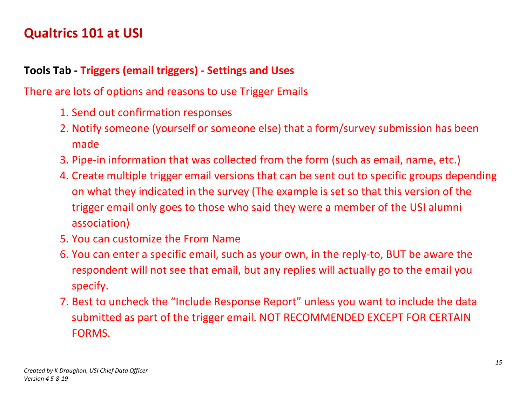### **Tools Tab - Triggers (email triggers) - Settings and Uses**

There are lots of options and reasons to use Trigger Emails

- 1. Send out confirmation responses
- 2. Notify someone (yourself or someone else) that a form/survey submission has been made
- 3. Pipe-in information that was collected from the form (such as email, name, etc.)
- 4. Create multiple trigger email versions that can be sent out to specific groups depending on what they indicated in the survey (The example is set so that this version of the trigger email only goes to those who said they were a member of the USI alumni association)
- 5. You can customize the From Name
- 6. You can enter a specific email, such as your own, in the reply-to, BUT be aware the respondent will not see that email, but any replies will actually go to the email you specify.
- 7. Best to uncheck the "Include Response Report" unless you want to include the data submitted as part of the trigger email. NOT RECOMMENDED EXCEPT FOR CERTAIN FORMS.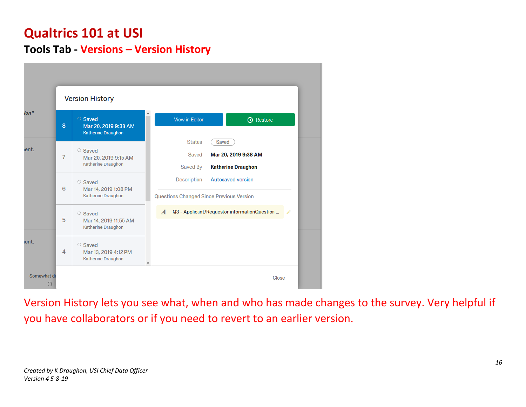### **Tools Tab - Versions – Version History**

|                  |                | <b>Version History</b>                                       |   |                                                                |                                                            |  |
|------------------|----------------|--------------------------------------------------------------|---|----------------------------------------------------------------|------------------------------------------------------------|--|
| ion"             | 8              | ○ Saved<br>Mar 20, 2019 9:38 AM<br><b>Katherine Draughon</b> |   | View in Editor                                                 | <b>3</b> Restore                                           |  |
| ient.            | $\overline{7}$ | ○ Saved<br>Mar 20, 2019 9:15 AM<br>Katherine Draughon        |   | <b>Status</b><br>Saved<br>Saved By                             | Saved<br>Mar 20, 2019 9:38 AM<br><b>Katherine Draughon</b> |  |
|                  | 6              | ○ Saved<br>Mar 14, 2019 1:08 PM<br>Katherine Draughon        |   | Description<br><b>Questions Changed Since Previous Version</b> | <b>Autosaved version</b>                                   |  |
|                  | 5              | ○ Saved<br>Mar 14, 2019 11:55 AM<br>Katherine Draughon       |   | $\boldsymbol{A}$                                               | Q3 - Applicant/Requestor informationQuestion               |  |
| ient.            | $\overline{4}$ | ○ Saved<br>Mar 13, 2019 4:12 PM<br>Katherine Draughon        | v |                                                                |                                                            |  |
| Somewhat di<br>О |                |                                                              |   |                                                                | Close                                                      |  |

Version History lets you see what, when and who has made changes to the survey. Very helpful if you have collaborators or if you need to revert to an earlier version.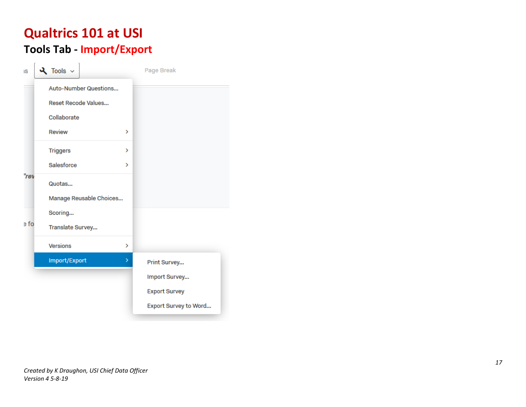# **Qualtrics 101 at USI Tools Tab - Import/Export**

| IS   | $\lambda$ Tools $\sim$  |   | Page Break            |
|------|-------------------------|---|-----------------------|
|      | Auto-Number Questions   |   |                       |
|      | Reset Recode Values     |   |                       |
|      | Collaborate             |   |                       |
|      | <b>Review</b>           | X |                       |
|      | <b>Triggers</b>         | > |                       |
|      | Salesforce              | У |                       |
| "rev | Quotas                  |   |                       |
|      | Manage Reusable Choices |   |                       |
|      | Scoring                 |   |                       |
| e fo | Translate Survey        |   |                       |
|      | <b>Versions</b>         | > |                       |
|      | Import/Export           | × | Print Survey          |
|      |                         |   | Import Survey         |
|      |                         |   | <b>Export Survey</b>  |
|      |                         |   | Export Survey to Word |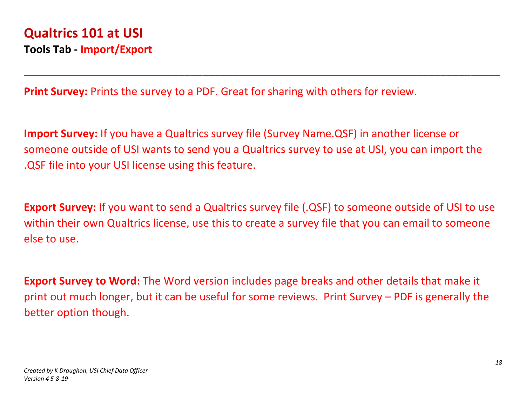**Print Survey:** Prints the survey to a PDF. Great for sharing with others for review.

**Import Survey:** If you have a Qualtrics survey file (Survey Name.QSF) in another license or someone outside of USI wants to send you a Qualtrics survey to use at USI, you can import the .QSF file into your USI license using this feature.

**\_\_\_\_\_\_\_\_\_\_\_\_\_\_\_\_\_\_\_\_\_\_\_\_\_\_\_\_\_\_\_\_\_\_\_\_\_\_\_\_\_\_\_\_\_\_\_\_\_\_\_\_\_\_\_\_\_\_\_\_\_\_\_\_\_\_\_\_\_\_\_\_\_\_\_\_\_\_\_\_**

**Export Survey:** If you want to send a Qualtrics survey file (.QSF) to someone outside of USI to use within their own Qualtrics license, use this to create a survey file that you can email to someone else to use.

**Export Survey to Word:** The Word version includes page breaks and other details that make it print out much longer, but it can be useful for some reviews. Print Survey – PDF is generally the better option though.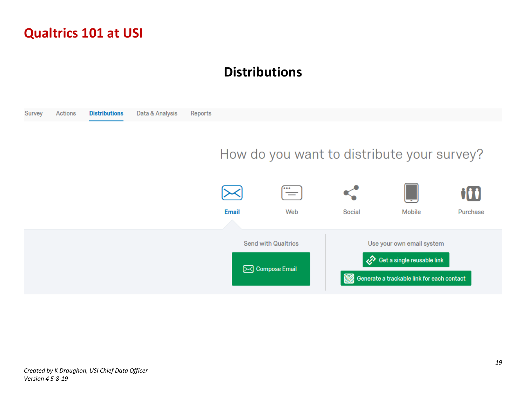## **Distributions**

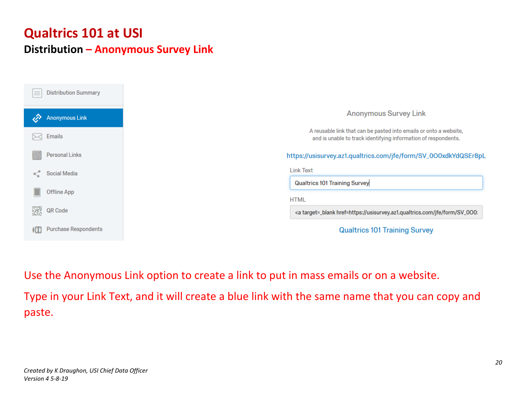## **Qualtrics 101 at USI Distribution – Anonymous Survey Link**

| <b>Distribution Summary</b><br>≡ |                                                                                                                                     |
|----------------------------------|-------------------------------------------------------------------------------------------------------------------------------------|
| <b>Anonymous Link</b>            | <b>Anonymous Survey Link</b>                                                                                                        |
| <b>Emails</b>                    | A reusable link that can be pasted into emails or onto a website,<br>and is unable to track identifying information of respondents. |
| <b>Personal Links</b>            | https://usisurvey.az1.qualtrics.com/jfe/form/SV_0O0xdkYdQSEr8pL                                                                     |
| Social Media                     | <b>Link Text</b>                                                                                                                    |
|                                  | <b>Qualtrics 101 Training Survey</b>                                                                                                |
| Offline App                      |                                                                                                                                     |
| 翜<br>QR Code                     | <b>HTML</b><br><a href="https://usisurvey.az1.qualtrics.com/jfe/form/SV_000:&lt;/th" target="_blank"></a>                           |

Use the Anonymous Link option to create a link to put in mass emails or on a website. Type in your Link Text, and it will create a blue link with the same name that you can copy and paste.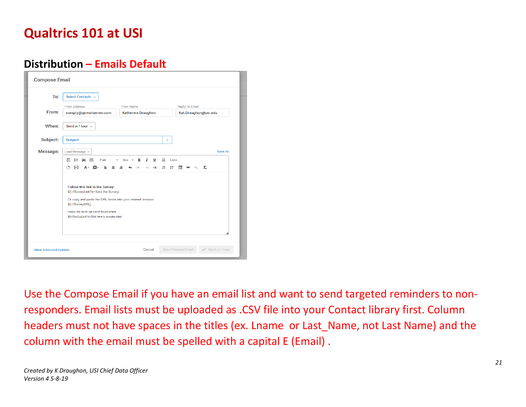### **Distribution – Emails Default**

| To:      | Select Contacts v                                                                                                                                                                                                                                             |                                                     |                                                  |
|----------|---------------------------------------------------------------------------------------------------------------------------------------------------------------------------------------------------------------------------------------------------------------|-----------------------------------------------------|--------------------------------------------------|
|          | From Address                                                                                                                                                                                                                                                  | From Name                                           | Reply-To Email                                   |
| From:    | noreply@qemailserver.com                                                                                                                                                                                                                                      | <b>Katherine Draughon</b>                           | Kat.Draughon@usi.edu                             |
| When:    | Send in 1 hour $\sim$                                                                                                                                                                                                                                         |                                                     |                                                  |
| Subject: | Subject                                                                                                                                                                                                                                                       | v                                                   |                                                  |
| Message: | Load Message v                                                                                                                                                                                                                                                |                                                     | Save As                                          |
|          | 眉<br>∺<br>${A}$<br>ન્થ્રિ<br>Font<br>∩<br>ÞВ<br>А.<br>亖<br>A<br>≘                                                                                                                                                                                             | I<br>υ<br>নি<br>$Size -$<br>в<br>疆<br>세리<br>≞<br>田田 | Less<br>$I_{\times}$<br>冊<br>$\circledcirc$<br>ę |
|          | Follow this link to the Survey:<br>\${I://SurveyLink?d=Take the Survey}<br>Or copy and paste the URL below into your internet browser:<br>\${I://SurveyURL}<br>Follow the link to opt out of future emails:<br>\${t://OptOutLink?d=Click here to unsubscribe} |                                                     |                                                  |

Use the Compose Email if you have an email list and want to send targeted reminders to nonresponders. Email lists must be uploaded as .CSV file into your Contact library first. Column headers must not have spaces in the titles (ex. Lname or Last\_Name, not Last Name) and the column with the email must be spelled with a capital E (Email) .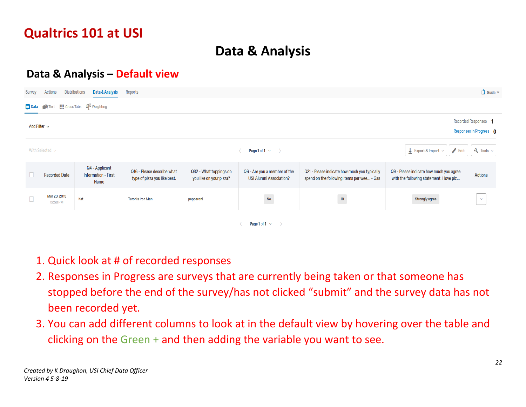# **Data & Analysis**

### **Data & Analysis – Default view**

| <b>Survey</b>                                                             | $\bigcirc$ Guide $\vee$<br><b>Distributions</b><br>Data & Analysis<br>Reports<br>Actions |                                                      |                                                            |                                                   |                                                                |                                                                                            |                                                                                     |                        |  |  |  |
|---------------------------------------------------------------------------|------------------------------------------------------------------------------------------|------------------------------------------------------|------------------------------------------------------------|---------------------------------------------------|----------------------------------------------------------------|--------------------------------------------------------------------------------------------|-------------------------------------------------------------------------------------|------------------------|--|--|--|
| Text <b>Exercise</b> Cross Tabs 4 <sup>2</sup> Weighting<br><b>E</b> Data |                                                                                          |                                                      |                                                            |                                                   |                                                                |                                                                                            |                                                                                     |                        |  |  |  |
| Recorded Responses 1<br>Add Filter $\sim$<br>Responses in Progress 0      |                                                                                          |                                                      |                                                            |                                                   |                                                                |                                                                                            |                                                                                     |                        |  |  |  |
|                                                                           | With Selected $\sim$                                                                     |                                                      |                                                            |                                                   | Page 1 of 1 $\vee$ $\rightarrow$                               |                                                                                            | $\blacktriangleright$ Edit<br>$\perp$ Export & Import $\sim$                        | $\lambda$ Tools $\sim$ |  |  |  |
|                                                                           | <b>Recorded Date</b>                                                                     | Q4 - Applicant<br><b>Information - First</b><br>Name | Q16 - Please describe what<br>type of pizza you like best. | Q32 - What toppings do<br>you like on your pizza? | Q6 - Are you a member of the<br><b>USI Alumni Association?</b> | Q21 - Please indicate how much you typically<br>spend on the following items per wee - Gas | Q9 - Please indicate how much you agree<br>with the following statement. I love piz | Actions                |  |  |  |
| $\Box$                                                                    | Mar 20, 2019<br>12:58 PM                                                                 | Kat                                                  | <b>Turonis Iron Man</b>                                    | pepperoni                                         | $\overline{N_0}$                                               | 10 <sub>1</sub>                                                                            | Strongly agree                                                                      | $\vee$                 |  |  |  |
|                                                                           | Page 1 of 1 $\sim$                                                                       |                                                      |                                                            |                                                   |                                                                |                                                                                            |                                                                                     |                        |  |  |  |

- 1. Quick look at # of recorded responses
- 2. Responses in Progress are surveys that are currently being taken or that someone has stopped before the end of the survey/has not clicked "submit" and the survey data has not been recorded yet.
- 3. You can add different columns to look at in the default view by hovering over the table and clicking on the Green + and then adding the variable you want to see.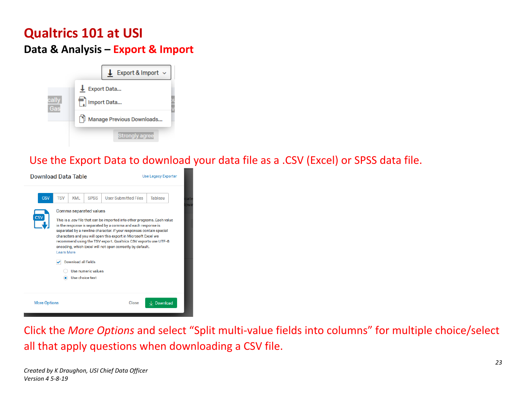### **Data & Analysis – Export & Import**



Use the Export Data to download your data file as a .CSV (Excel) or SPSS data file.

| <b>Download Data Table</b>                                                                                                                 |                                                                                                                                                                                                                                                                                                                                                                                           |                     |                                       | <b>Use Legacy Exporter</b> |                       |  |  |  |
|--------------------------------------------------------------------------------------------------------------------------------------------|-------------------------------------------------------------------------------------------------------------------------------------------------------------------------------------------------------------------------------------------------------------------------------------------------------------------------------------------------------------------------------------------|---------------------|---------------------------------------|----------------------------|-----------------------|--|--|--|
| <b>CSV</b><br><b>CSV</b>                                                                                                                   | <b>TSV</b><br>XML<br><b>SPSS</b><br><b>User Submitted Files</b><br>Tableau<br>Comma separated values<br>This is a .csv file that can be imported into other programs. Each value<br>in the response is separated by a comma and each response is<br>separated by a newline character. If your responses contain special<br>characters and you will open this export in Microsoft Excel we |                     |                                       |                            |                       |  |  |  |
| recommend using the TSV export. Qualtrics CSV exports use UTF-8<br>encoding, which Excel will not open correctly by default.<br>Learn More |                                                                                                                                                                                                                                                                                                                                                                                           |                     |                                       |                            |                       |  |  |  |
|                                                                                                                                            |                                                                                                                                                                                                                                                                                                                                                                                           | Download all fields | Use numeric values<br>Use choice text |                            |                       |  |  |  |
| <b>More Options</b>                                                                                                                        |                                                                                                                                                                                                                                                                                                                                                                                           |                     |                                       | Close                      | $\downarrow$ Download |  |  |  |

Click the *More Options* and select "Split multi-value fields into columns" for multiple choice/select all that apply questions when downloading a CSV file.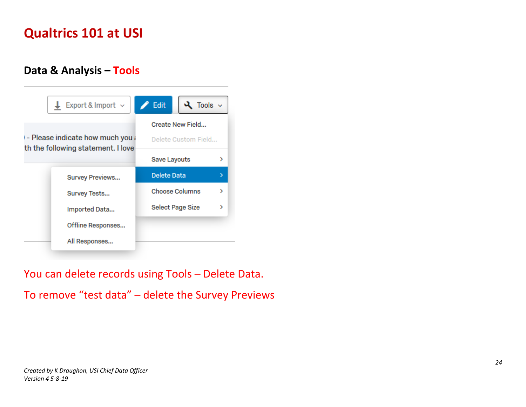### **Data & Analysis – Tools**



You can delete records using Tools – Delete Data.

To remove "test data" – delete the Survey Previews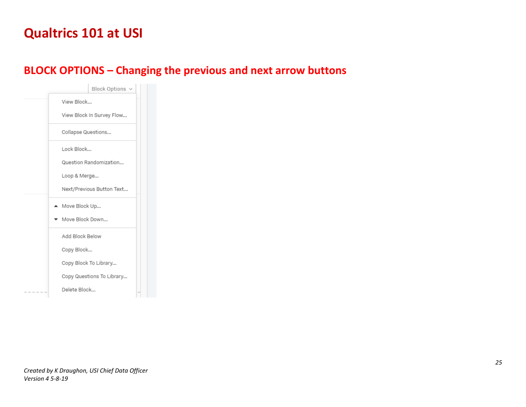### **BLOCK OPTIONS – Changing the previous and next arrow buttons**

| <b>Block Options</b>      |
|---------------------------|
| View Block                |
| View Block In Survey Flow |
| Collapse Questions        |
| Lock Block                |
| Question Randomization    |
| Loop & Merge              |
| Next/Previous Button Text |
| ▲ Move Block Up           |
| Move Block Down           |
| Add Block Below           |
| Copy Block                |
| Copy Block To Library     |
| Copy Questions To Library |
| Delete Block              |
|                           |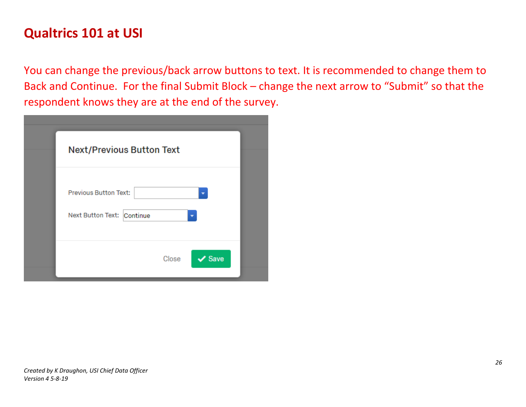You can change the previous/back arrow buttons to text. It is recommended to change them to Back and Continue. For the final Submit Block – change the next arrow to "Submit" so that the respondent knows they are at the end of the survey.

| <b>Next/Previous Button Text</b>                           |       |             |
|------------------------------------------------------------|-------|-------------|
| <b>Previous Button Text:</b><br>Next Button Text: Continue |       |             |
|                                                            | Close | $\vee$ Save |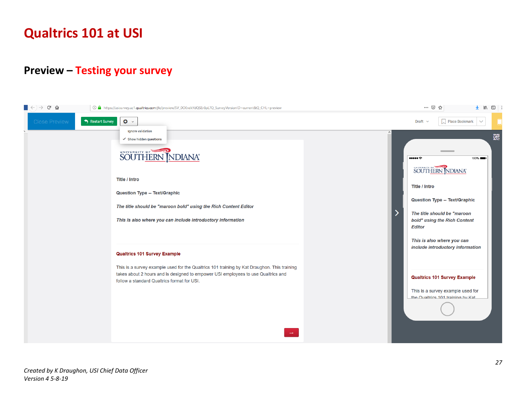#### **Preview – Testing your survey**

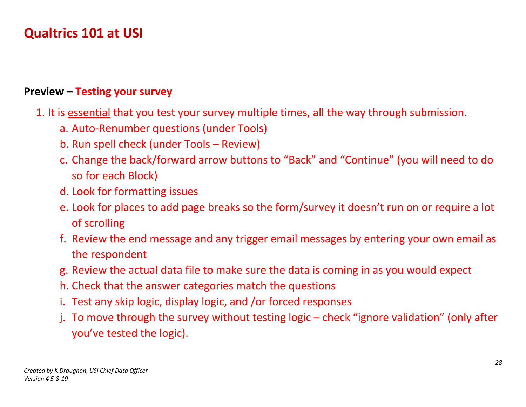#### **Preview – Testing your survey**

- 1. It is essential that you test your survey multiple times, all the way through submission.
	- a. Auto-Renumber questions (under Tools)
	- b. Run spell check (under Tools Review)
	- c. Change the back/forward arrow buttons to "Back" and "Continue" (you will need to do so for each Block)
	- d. Look for formatting issues
	- e. Look for places to add page breaks so the form/survey it doesn't run on or require a lot of scrolling
	- f. Review the end message and any trigger email messages by entering your own email as the respondent
	- g. Review the actual data file to make sure the data is coming in as you would expect
	- h. Check that the answer categories match the questions
	- i. Test any skip logic, display logic, and /or forced responses
	- j. To move through the survey without testing logic check "ignore validation" (only after you've tested the logic).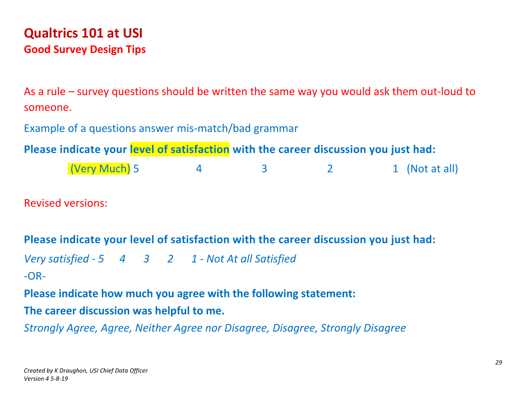# **Qualtrics 101 at USI Good Survey Design Tips**

As a rule – survey questions should be written the same way you would ask them out-loud to someone.

Example of a questions answer mis-match/bad grammar

**Please indicate your level of satisfaction with the career discussion you just had:**

| (Very Much) 5 |  |  |  |  | 1 (Not at all) |
|---------------|--|--|--|--|----------------|
|---------------|--|--|--|--|----------------|

Revised versions:

# **Please indicate your level of satisfaction with the career discussion you just had:** *Very satisfied - 5 4 3 2 1 - Not At all Satisfied* -OR-**Please indicate how much you agree with the following statement: The career discussion was helpful to me.**

*Strongly Agree, Agree, Neither Agree nor Disagree, Disagree, Strongly Disagree*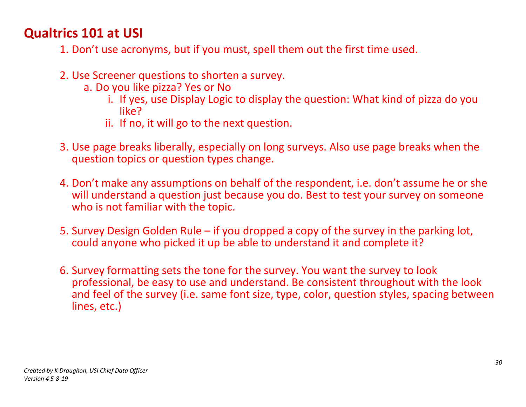- 1. Don't use acronyms, but if you must, spell them out the first time used.
- 2. Use Screener questions to shorten a survey.
	- a. Do you like pizza? Yes or No
		- i. If yes, use Display Logic to display the question: What kind of pizza do you like?
		- ii. If no, it will go to the next question.
- 3. Use page breaks liberally, especially on long surveys. Also use page breaks when the question topics or question types change.
- 4. Don't make any assumptions on behalf of the respondent, i.e. don't assume he or she will understand a question just because you do. Best to test your survey on someone who is not familiar with the topic.
- 5. Survey Design Golden Rule if you dropped a copy of the survey in the parking lot, could anyone who picked it up be able to understand it and complete it?
- 6. Survey formatting sets the tone for the survey. You want the survey to look professional, be easy to use and understand. Be consistent throughout with the look and feel of the survey (i.e. same font size, type, color, question styles, spacing between lines, etc.)